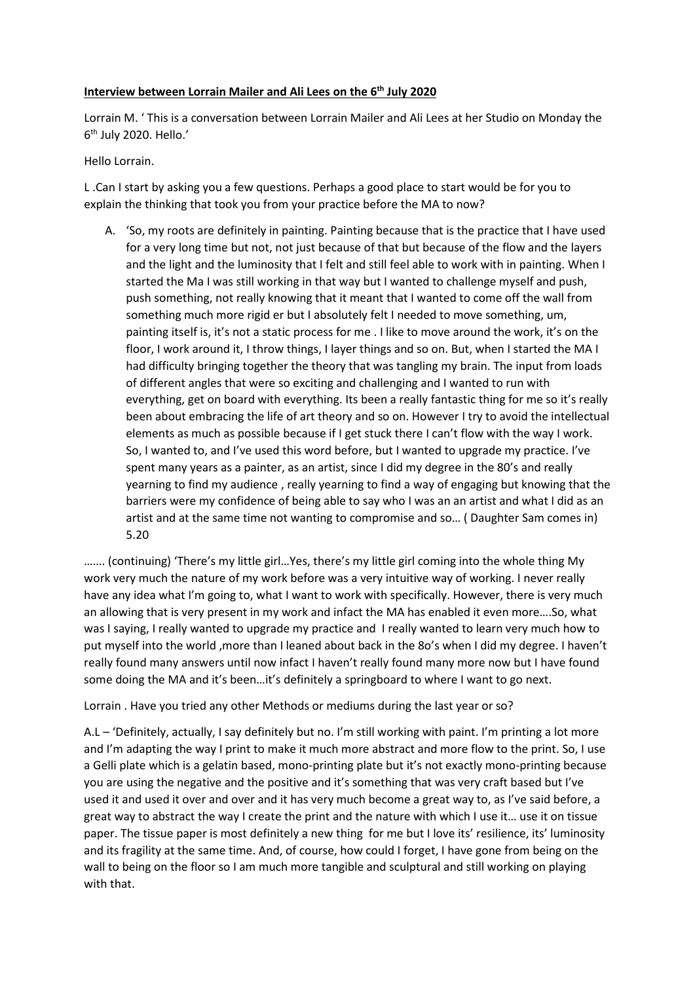## **Interview between Lorrain Mailer and Ali Lees on the 6<sup>th</sup> July 2020**

Lorrain M. ' This is a conversation between Lorrain Mailer and Ali Lees at her Studio on Monday the 6th July 2020. Hello.'

## Hello Lorrain.

L .Can I start by asking you a few questions. Perhaps a good place to start would be for you to explain the thinking that took you from your practice before the MA to now?

A. 'So, my roots are definitely in painting. Painting because that is the practice that I have used for a very long time but not, not just because of that but because of the flow and the layers and the light and the luminosity that I felt and still feel able to work with in painting. When I started the Ma I was still working in that way but I wanted to challenge myself and push, push something, not really knowing that it meant that I wanted to come off the wall from something much more rigid er but I absolutely felt I needed to move something, um, painting itself is, it's not a static process for me . I like to move around the work, it's on the floor, I work around it, I throw things, I layer things and so on. But, when I started the MA I had difficulty bringing together the theory that was tangling my brain. The input from loads of different angles that were so exciting and challenging and I wanted to run with everything, get on board with everything. Its been a really fantastic thing for me so it's really been about embracing the life of art theory and so on. However I try to avoid the intellectual elements as much as possible because if I get stuck there I can't flow with the way I work. So, I wanted to, and I've used this word before, but I wanted to upgrade my practice. I've spent many years as a painter, as an artist, since I did my degree in the 80's and really yearning to find my audience , really yearning to find a way of engaging but knowing that the barriers were my confidence of being able to say who I was an an artist and what I did as an artist and at the same time not wanting to compromise and so… ( Daughter Sam comes in) 5.20

……. (continuing) 'There's my little girl…Yes, there's my little girl coming into the whole thing My work very much the nature of my work before was a very intuitive way of working. I never really have any idea what I'm going to, what I want to work with specifically. However, there is very much an allowing that is very present in my work and infact the MA has enabled it even more….So, what was I saying, I really wanted to upgrade my practice and I really wanted to learn very much how to put myself into the world ,more than I leaned about back in the 8o's when I did my degree. I haven't really found many answers until now infact I haven't really found many more now but I have found some doing the MA and it's been...it's definitely a springboard to where I want to go next.

Lorrain . Have you tried any other Methods or mediums during the last year or so?

A.L – 'Definitely, actually, I say definitely but no. I'm still working with paint. I'm printing a lot more and I'm adapting the way I print to make it much more abstract and more flow to the print. So, I use a Gelli plate which is a gelatin based, mono-printing plate but it's not exactly mono-printing because you are using the negative and the positive and it's something that was very craft based but I've used it and used it over and over and it has very much become a great way to, as I've said before, a great way to abstract the way I create the print and the nature with which I use it… use it on tissue paper. The tissue paper is most definitely a new thing for me but I love its' resilience, its' luminosity and its fragility at the same time. And, of course, how could I forget, I have gone from being on the wall to being on the floor so I am much more tangible and sculptural and still working on playing with that.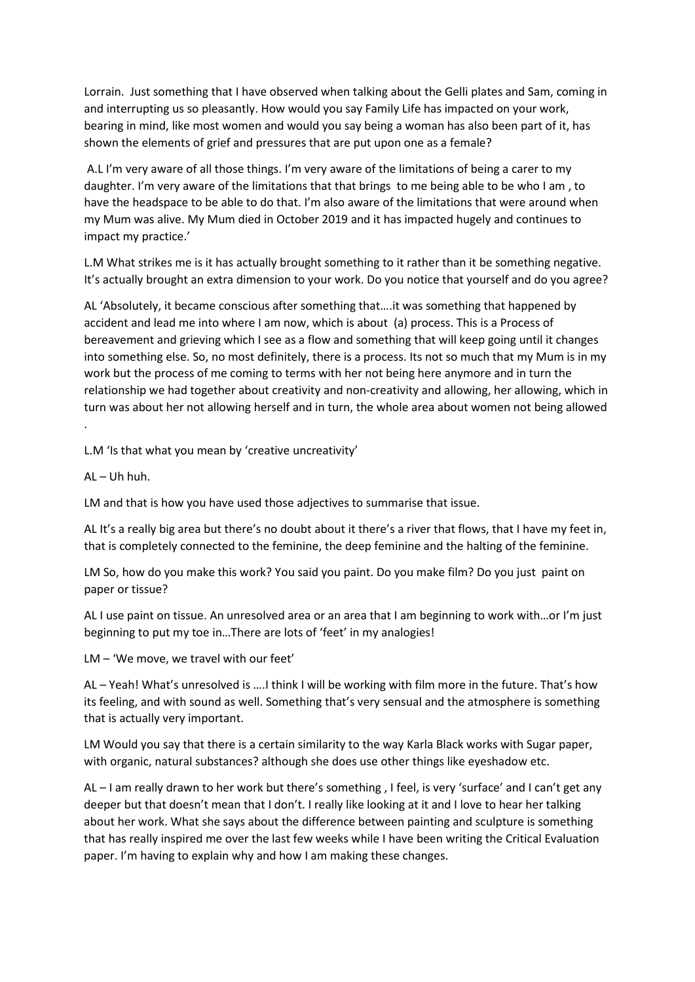Lorrain. Just something that I have observed when talking about the Gelli plates and Sam, coming in and interrupting us so pleasantly. How would you say Family Life has impacted on your work, bearing in mind, like most women and would you say being a woman has also been part of it, has shown the elements of grief and pressures that are put upon one as a female?

A.L I'm very aware of all those things. I'm very aware of the limitations of being a carer to my daughter. I'm very aware of the limitations that that brings to me being able to be who I am , to have the headspace to be able to do that. I'm also aware of the limitations that were around when my Mum was alive. My Mum died in October 2019 and it has impacted hugely and continues to impact my practice.'

L.M What strikes me is it has actually brought something to it rather than it be something negative. It's actually brought an extra dimension to your work. Do you notice that yourself and do you agree?

AL 'Absolutely, it became conscious after something that….it was something that happened by accident and lead me into where I am now, which is about (a) process. This is a Process of bereavement and grieving which I see as a flow and something that will keep going until it changes into something else. So, no most definitely, there is a process. Its not so much that my Mum is in my work but the process of me coming to terms with her not being here anymore and in turn the relationship we had together about creativity and non-creativity and allowing, her allowing, which in turn was about her not allowing herself and in turn, the whole area about women not being allowed

L.M 'Is that what you mean by 'creative uncreativity'

AL – Uh huh.

.

LM and that is how you have used those adjectives to summarise that issue.

AL It's a really big area but there's no doubt about it there's a river that flows, that I have my feet in, that is completely connected to the feminine, the deep feminine and the halting of the feminine.

LM So, how do you make this work? You said you paint. Do you make film? Do you just paint on paper or tissue?

AL I use paint on tissue. An unresolved area or an area that I am beginning to work with…or I'm just beginning to put my toe in…There are lots of 'feet' in my analogies!

LM – 'We move, we travel with our feet'

AL – Yeah! What's unresolved is ….I think I will be working with film more in the future. That's how its feeling, and with sound as well. Something that's very sensual and the atmosphere is something that is actually very important.

LM Would you say that there is a certain similarity to the way Karla Black works with Sugar paper, with organic, natural substances? although she does use other things like eyeshadow etc.

AL – I am really drawn to her work but there's something , I feel, is very 'surface' and I can't get any deeper but that doesn't mean that I don't. I really like looking at it and I love to hear her talking about her work. What she says about the difference between painting and sculpture is something that has really inspired me over the last few weeks while I have been writing the Critical Evaluation paper. I'm having to explain why and how I am making these changes.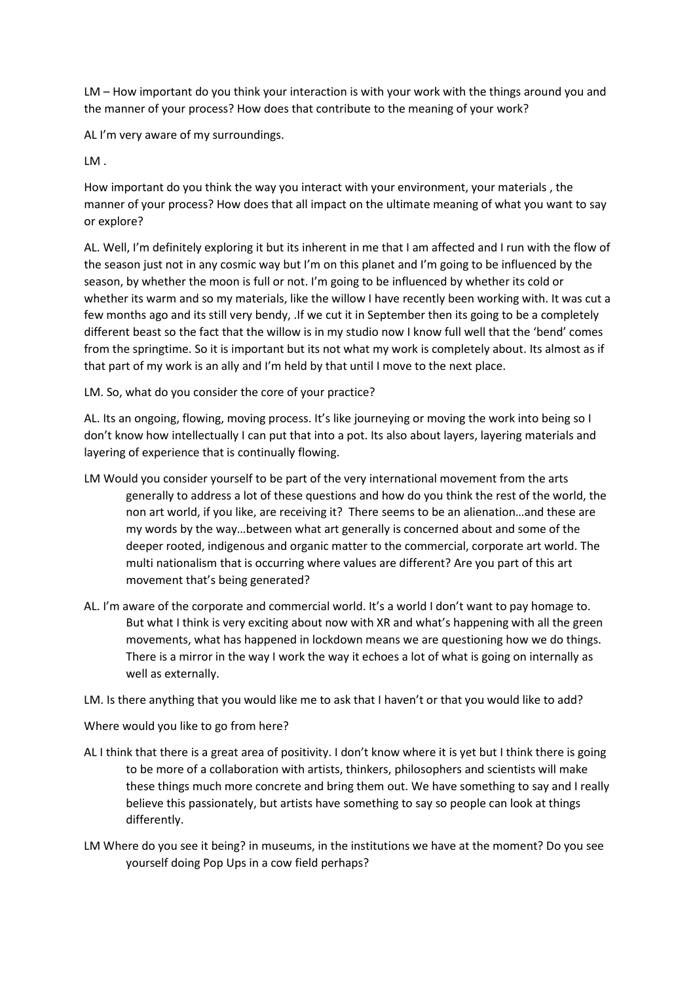LM – How important do you think your interaction is with your work with the things around you and the manner of your process? How does that contribute to the meaning of your work?

AL I'm very aware of my surroundings.

LM .

How important do you think the way you interact with your environment, your materials , the manner of your process? How does that all impact on the ultimate meaning of what you want to say or explore?

AL. Well, I'm definitely exploring it but its inherent in me that I am affected and I run with the flow of the season just not in any cosmic way but I'm on this planet and I'm going to be influenced by the season, by whether the moon is full or not. I'm going to be influenced by whether its cold or whether its warm and so my materials, like the willow I have recently been working with. It was cut a few months ago and its still very bendy, .If we cut it in September then its going to be a completely different beast so the fact that the willow is in my studio now I know full well that the 'bend' comes from the springtime. So it is important but its not what my work is completely about. Its almost as if that part of my work is an ally and I'm held by that until I move to the next place.

LM. So, what do you consider the core of your practice?

AL. Its an ongoing, flowing, moving process. It's like journeying or moving the work into being so I don't know how intellectually I can put that into a pot. Its also about layers, layering materials and layering of experience that is continually flowing.

- LM Would you consider yourself to be part of the very international movement from the arts generally to address a lot of these questions and how do you think the rest of the world, the non art world, if you like, are receiving it? There seems to be an alienation…and these are my words by the way…between what art generally is concerned about and some of the deeper rooted, indigenous and organic matter to the commercial, corporate art world. The multi nationalism that is occurring where values are different? Are you part of this art movement that's being generated?
- AL. I'm aware of the corporate and commercial world. It's a world I don't want to pay homage to. But what I think is very exciting about now with XR and what's happening with all the green movements, what has happened in lockdown means we are questioning how we do things. There is a mirror in the way I work the way it echoes a lot of what is going on internally as well as externally.

LM. Is there anything that you would like me to ask that I haven't or that you would like to add?

Where would you like to go from here?

- AL I think that there is a great area of positivity. I don't know where it is yet but I think there is going to be more of a collaboration with artists, thinkers, philosophers and scientists will make these things much more concrete and bring them out. We have something to say and I really believe this passionately, but artists have something to say so people can look at things differently.
- LM Where do you see it being? in museums, in the institutions we have at the moment? Do you see yourself doing Pop Ups in a cow field perhaps?